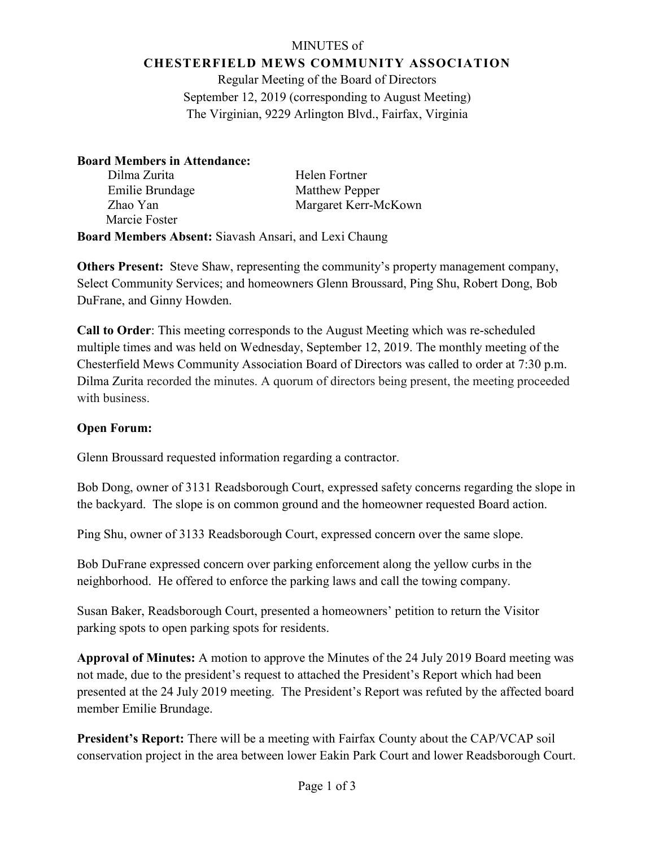## MINUTES of **CHESTERFIELD MEWS COMMUNITY ASSOCIATION**

Regular Meeting of the Board of Directors September 12, 2019 (corresponding to August Meeting) The Virginian, 9229 Arlington Blvd., Fairfax, Virginia

# **Board Members in Attendance:**

| Dilma Zurita                                                 | Helen Fortner         |
|--------------------------------------------------------------|-----------------------|
| Emilie Brundage                                              | <b>Matthew Pepper</b> |
| Zhao Yan                                                     | Margaret Kerr-McKown  |
| Marcie Foster                                                |                       |
| <b>Board Members Absent:</b> Siavash Ansari, and Lexi Chaung |                       |

**Others Present:** Steve Shaw, representing the community's property management company, Select Community Services; and homeowners Glenn Broussard, Ping Shu, Robert Dong, Bob DuFrane, and Ginny Howden.

**Call to Order**: This meeting corresponds to the August Meeting which was re-scheduled multiple times and was held on Wednesday, September 12, 2019. The monthly meeting of the Chesterfield Mews Community Association Board of Directors was called to order at 7:30 p.m. Dilma Zurita recorded the minutes. A quorum of directors being present, the meeting proceeded with business.

# **Open Forum:**

Glenn Broussard requested information regarding a contractor.

Bob Dong, owner of 3131 Readsborough Court, expressed safety concerns regarding the slope in the backyard. The slope is on common ground and the homeowner requested Board action.

Ping Shu, owner of 3133 Readsborough Court, expressed concern over the same slope.

Bob DuFrane expressed concern over parking enforcement along the yellow curbs in the neighborhood. He offered to enforce the parking laws and call the towing company.

Susan Baker, Readsborough Court, presented a homeowners' petition to return the Visitor parking spots to open parking spots for residents.

**Approval of Minutes:** A motion to approve the Minutes of the 24 July 2019 Board meeting was not made, due to the president's request to attached the President's Report which had been presented at the 24 July 2019 meeting. The President's Report was refuted by the affected board member Emilie Brundage.

**President's Report:** There will be a meeting with Fairfax County about the CAP/VCAP soil conservation project in the area between lower Eakin Park Court and lower Readsborough Court.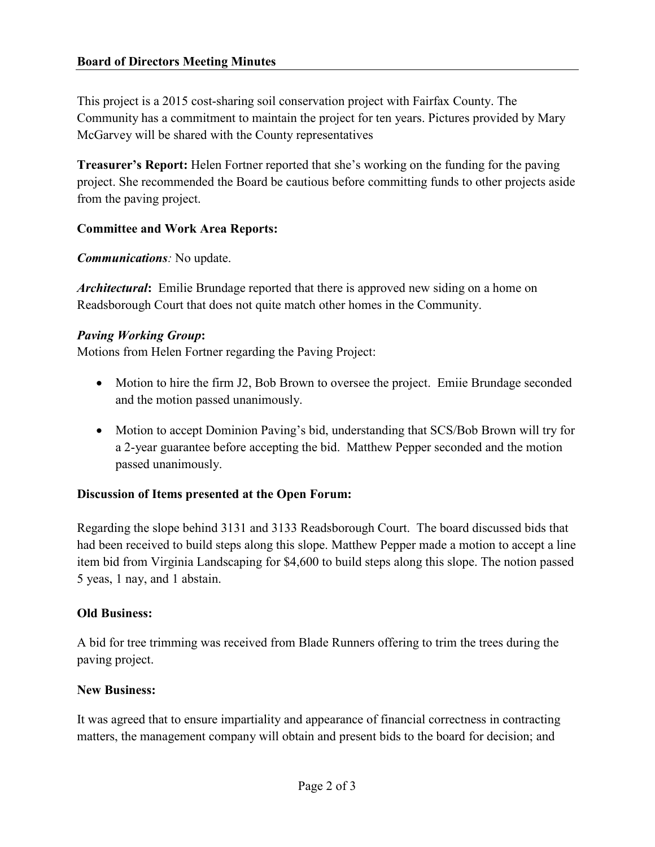# **Board of Directors Meeting Minutes**

This project is a 2015 cost-sharing soil conservation project with Fairfax County. The Community has a commitment to maintain the project for ten years. Pictures provided by Mary McGarvey will be shared with the County representatives

**Treasurer's Report:** Helen Fortner reported that she's working on the funding for the paving project. She recommended the Board be cautious before committing funds to other projects aside from the paving project.

## **Committee and Work Area Reports:**

*Communications:* No update.

*Architectural***:** Emilie Brundage reported that there is approved new siding on a home on Readsborough Court that does not quite match other homes in the Community.

## *Paving Working Group***:**

Motions from Helen Fortner regarding the Paving Project:

- Motion to hire the firm J2, Bob Brown to oversee the project. Emiie Brundage seconded and the motion passed unanimously.
- Motion to accept Dominion Paving's bid, understanding that SCS/Bob Brown will try for a 2-year guarantee before accepting the bid. Matthew Pepper seconded and the motion passed unanimously.

#### **Discussion of Items presented at the Open Forum:**

Regarding the slope behind 3131 and 3133 Readsborough Court. The board discussed bids that had been received to build steps along this slope. Matthew Pepper made a motion to accept a line item bid from Virginia Landscaping for \$4,600 to build steps along this slope. The notion passed 5 yeas, 1 nay, and 1 abstain.

#### **Old Business:**

A bid for tree trimming was received from Blade Runners offering to trim the trees during the paving project.

#### **New Business:**

It was agreed that to ensure impartiality and appearance of financial correctness in contracting matters, the management company will obtain and present bids to the board for decision; and